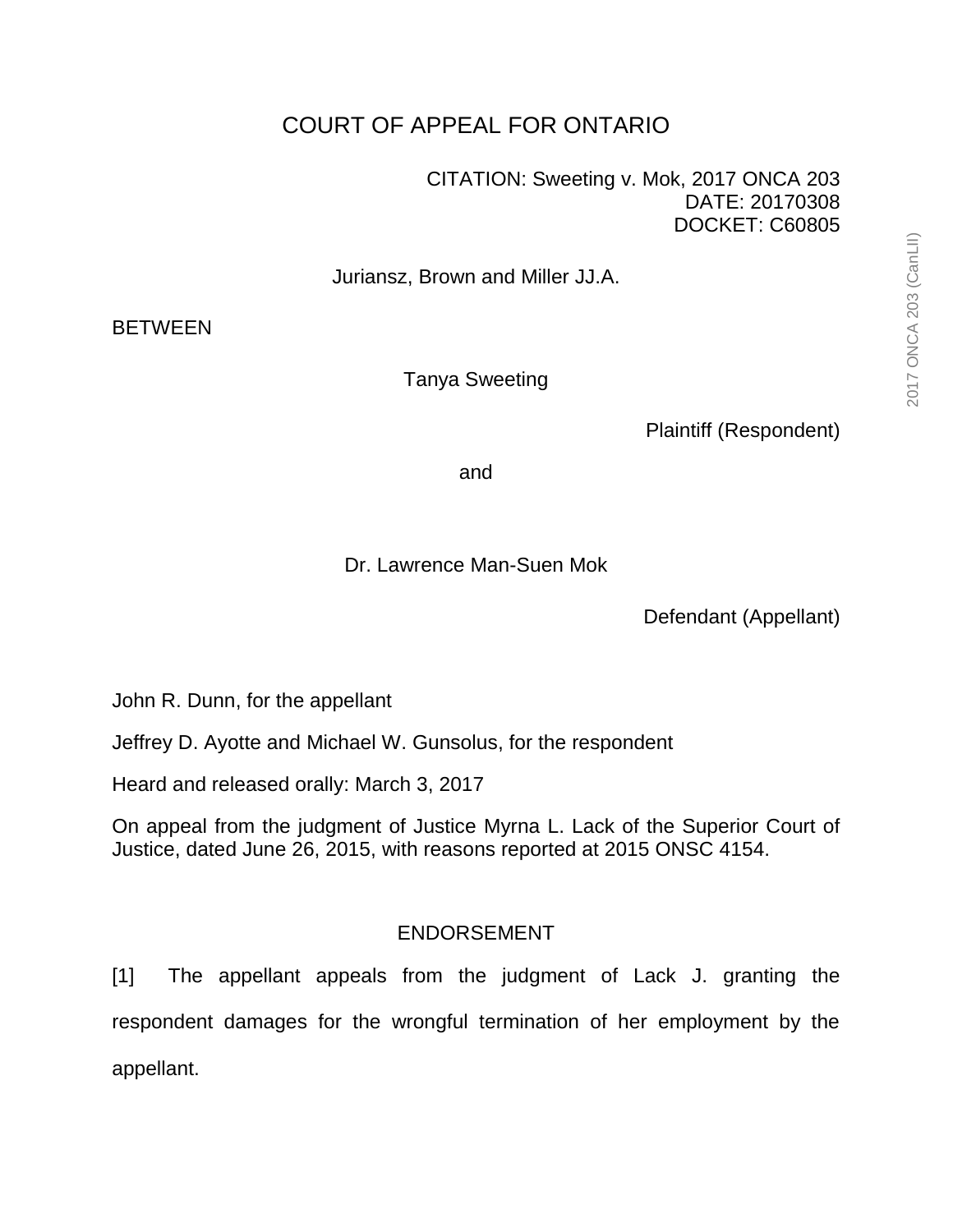## COURT OF APPEAL FOR ONTARIO

CITATION: Sweeting v. Mok, 2017 ONCA 203 DATE: 20170308 DOCKET: C60805

Juriansz, Brown and Miller JJ.A.

**BETWEEN** 

Tanya Sweeting

Plaintiff (Respondent)

and

Dr. Lawrence Man-Suen Mok

Defendant (Appellant)

John R. Dunn, for the appellant

Jeffrey D. Ayotte and Michael W. Gunsolus, for the respondent

Heard and released orally: March 3, 2017

On appeal from the judgment of Justice Myrna L. Lack of the Superior Court of Justice, dated June 26, 2015, with reasons reported at 2015 ONSC 4154.

## ENDORSEMENT

[1] The appellant appeals from the judgment of Lack J. granting the respondent damages for the wrongful termination of her employment by the appellant.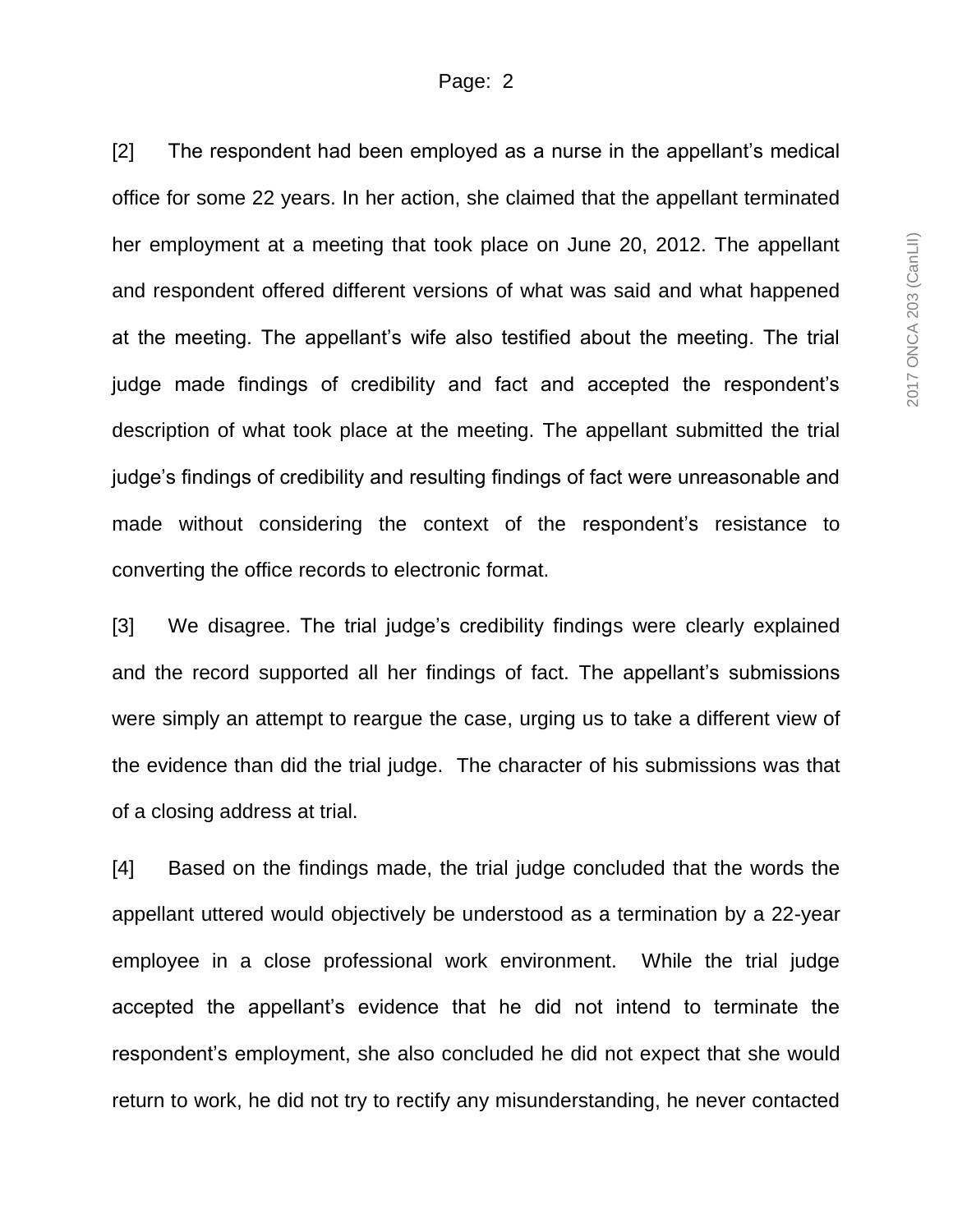[2] The respondent had been employed as a nurse in the appellant's medical office for some 22 years. In her action, she claimed that the appellant terminated her employment at a meeting that took place on June 20, 2012. The appellant and respondent offered different versions of what was said and what happened at the meeting. The appellant's wife also testified about the meeting. The trial judge made findings of credibility and fact and accepted the respondent's description of what took place at the meeting. The appellant submitted the trial judge's findings of credibility and resulting findings of fact were unreasonable and made without considering the context of the respondent's resistance to converting the office records to electronic format.

[3] We disagree. The trial judge's credibility findings were clearly explained and the record supported all her findings of fact. The appellant's submissions were simply an attempt to reargue the case, urging us to take a different view of the evidence than did the trial judge. The character of his submissions was that of a closing address at trial.

[4] Based on the findings made, the trial judge concluded that the words the appellant uttered would objectively be understood as a termination by a 22-year employee in a close professional work environment. While the trial judge accepted the appellant's evidence that he did not intend to terminate the respondent's employment, she also concluded he did not expect that she would return to work, he did not try to rectify any misunderstanding, he never contacted